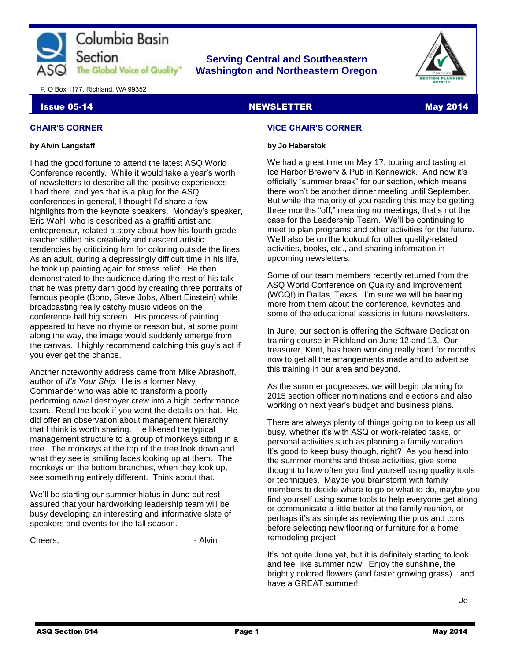

# **Serving Central and Southeastern The Global Voice of Quality | Washington and Northeastern Oregon**



P. O Box 1177, Richland, WA 99352

#### **Issue 05-14** NEWSLETTER MAY 2014

#### **CHAIR'S CORNER**

#### **by Alvin Langstaff**

I had the good fortune to attend the latest ASQ World Conference recently. While it would take a year's worth of newsletters to describe all the positive experiences I had there, and yes that is a plug for the ASQ conferences in general, I thought I'd share a few highlights from the keynote speakers. Monday's speaker, Eric Wahl, who is described as a graffiti artist and entrepreneur, related a story about how his fourth grade teacher stifled his creativity and nascent artistic tendencies by criticizing him for coloring outside the lines. As an adult, during a depressingly difficult time in his life, he took up painting again for stress relief. He then demonstrated to the audience during the rest of his talk that he was pretty darn good by creating three portraits of famous people (Bono, Steve Jobs, Albert Einstein) while broadcasting really catchy music videos on the conference hall big screen. His process of painting appeared to have no rhyme or reason but, at some point along the way, the image would suddenly emerge from the canvas. I highly recommend catching this guy's act if you ever get the chance.

Another noteworthy address came from Mike Abrashoff, author of *It's Your Ship*. He is a former Navy Commander who was able to transform a poorly performing naval destroyer crew into a high performance team. Read the book if you want the details on that. He did offer an observation about management hierarchy that I think is worth sharing. He likened the typical management structure to a group of monkeys sitting in a tree. The monkeys at the top of the tree look down and what they see is smiling faces looking up at them. The monkeys on the bottom branches, when they look up, see something entirely different. Think about that.

We'll be starting our summer hiatus in June but rest assured that your hardworking leadership team will be busy developing an interesting and informative slate of speakers and events for the fall season.

Cheers, The Cheers, The Cheers, The Cheers, The Cheers, The Cheers, The Cheers, The Cheers, The Cheers, The Cheers, The Cheers, The Cheers, The Cheers, The Cheers, The Cheers, The Cheers, The Cheers, The Cheers, The Cheers

# **VICE CHAIR'S CORNER**

#### **by Jo Haberstok**

We had a great time on May 17, touring and tasting at Ice Harbor Brewery & Pub in Kennewick. And now it's officially "summer break" for our section, which means there won't be another dinner meeting until September. But while the majority of you reading this may be getting three months "off," meaning no meetings, that's not the case for the Leadership Team. We'll be continuing to meet to plan programs and other activities for the future. We'll also be on the lookout for other quality-related activities, books, etc., and sharing information in upcoming newsletters.

Some of our team members recently returned from the ASQ World Conference on Quality and Improvement (WCQI) in Dallas, Texas. I'm sure we will be hearing more from them about the conference, keynotes and some of the educational sessions in future newsletters.

In June, our section is offering the Software Dedication training course in Richland on June 12 and 13. Our treasurer, Kent, has been working really hard for months now to get all the arrangements made and to advertise this training in our area and beyond.

As the summer progresses, we will begin planning for 2015 section officer nominations and elections and also working on next year's budget and business plans.

There are always plenty of things going on to keep us all busy, whether it's with ASQ or work-related tasks, or personal activities such as planning a family vacation. It's good to keep busy though, right? As you head into the summer months and those activities, give some thought to how often you find yourself using quality tools or techniques. Maybe you brainstorm with family members to decide where to go or what to do, maybe you find yourself using some tools to help everyone get along or communicate a little better at the family reunion, or perhaps it's as simple as reviewing the pros and cons before selecting new flooring or furniture for a home remodeling project.

It's not quite June yet, but it is definitely starting to look and feel like summer now. Enjoy the sunshine, the brightly colored flowers (and faster growing grass)…and have a GREAT summer!

- Jo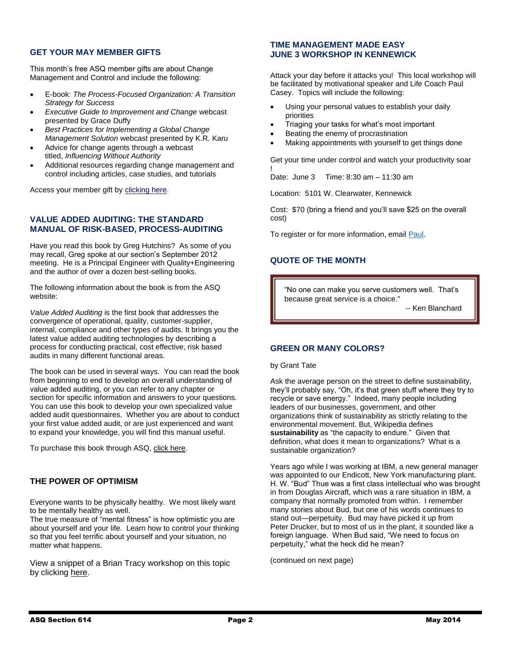#### **GET YOUR MAY MEMBER GIFTS**

This month's free ASQ member gifts are about Change Management and Control and include the following:

- E-book: *The Process-Focused Organization: A Transition Strategy for Success*
- *Executive Guide to Improvement and Change* webcast presented by Grace Duffy
- *Best Practices for Implementing a Global Change Management Solution* webcast presented by K.R. Karu
- Advice for change agents through a webcast titled, *Influencing Without Authority*
- Additional resources regarding change management and control including articles, case studies, and tutorials

Access your member gift by [clicking here.](https://asq.org/SignIn.aspx?prvurl=http://asq.org/membership/members/gift/?WT.dcsvid=MTA3NjQ3OTQ1Nzg2S0&WT.mc_id=EM1111827)

#### **VALUE ADDED AUDITING: THE STANDARD MANUAL OF RISK-BASED, PROCESS-AUDITING**

Have you read this book by Greg Hutchins? As some of you may recall, Greg spoke at our section's September 2012 meeting. He is a Principal Engineer with Quality+Engineering and the author of over a dozen best-selling books.

The following information about the book is from the ASQ website:

*Value Added Auditing* is the first book that addresses the convergence of operational, quality, customer-supplier, internal, compliance and other types of audits. It brings you the latest value added auditing technologies by describing a process for conducting practical, cost effective, risk based audits in many different functional areas.

The book can be used in several ways. You can read the book from beginning to end to develop an overall understanding of value added auditing, or you can refer to any chapter or section for specific information and answers to your questions. You can use this book to develop your own specialized value added audit questionnaires. Whether you are about to conduct your first value added audit, or are just experienced and want to expand your knowledge, you will find this manual useful.

To purchase this book through ASQ, [click here.](http://asq.org/quality-press/display-item/index.html?item=P1528)

#### **THE POWER OF OPTIMISM**

Everyone wants to be physically healthy. We most likely want to be mentally healthy as well.

The true measure of "mental fitness" is how optimistic you are about yourself and your life. Learn how to control your thinking so that you feel terrific about yourself and your situation, no matter what happens.

View a snippet of a Brian Tracy workshop on this topic by clicking [here.](http://www.motivatemevideo.com/brian-tracy-optimism/)

#### **TIME MANAGEMENT MADE EASY JUNE 3 WORKSHOP IN KENNEWICK**

Attack your day before it attacks you! This local workshop will be facilitated by motivational speaker and Life Coach Paul Casey. Topics will include the following:

- Using your personal values to establish your daily priorities
- Triaging your tasks for what's most important
- Beating the enemy of procrastination
- Making appointments with yourself to get things done

Get your time under control and watch your productivity soar !

Date: June 3 Time: 8:30 am – 11:30 am

Location: 5101 W. Clearwater, Kennewick

Cost: \$70 (bring a friend and you'll save \$25 on the overall cost)

To register or for more information, emai[l Paul.](mailto:pcgrowingforward@gmail.com)

#### **QUOTE OF THE MONTH**

"No one can make you serve customers well. That's because great service is a choice."

-- Ken Blanchard

## **GREEN OR MANY COLORS?**

by Grant Tate

L

Ask the average person on the street to define sustainability, they'll probably say, "Oh, it's that green stuff where they try to recycle or save energy." Indeed, many people including leaders of our businesses, government, and other organizations think of sustainability as strictly relating to the environmental movement. But, Wikipedia defines **sustainability** as "the capacity to endure." Given that definition, what does it mean to organizations? What is a sustainable organization?

Years ago while I was working at IBM, a new general manager was appointed to our Endicott, New York manufacturing plant. H. W. "Bud" Thue was a first class intellectual who was brought in from Douglas Aircraft, which was a rare situation in IBM, a company that normally promoted from within. I remember many stories about Bud, but one of his words continues to stand out—perpetuity. Bud may have picked it up from Peter Drucker, but to most of us in the plant, it sounded like a foreign language. When Bud said, "We need to focus on perpetuity," what the heck did he mean?

(continued on next page)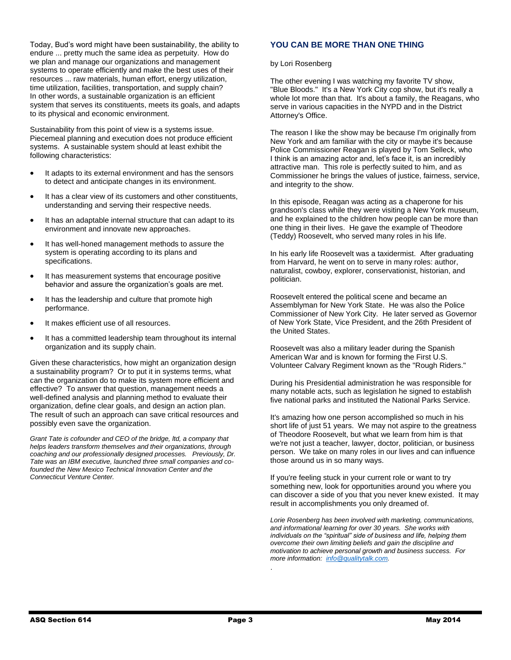Today, Bud's word might have been sustainability, the ability to endure ... pretty much the same idea as perpetuity. How do we plan and manage our organizations and management systems to operate efficiently and make the best uses of their resources ... raw materials, human effort, energy utilization, time utilization, facilities, transportation, and supply chain? In other words, a sustainable organization is an efficient system that serves its constituents, meets its goals, and adapts to its physical and economic environment.

Sustainability from this point of view is a systems issue. Piecemeal planning and execution does not produce efficient systems. A sustainable system should at least exhibit the following characteristics:

- It adapts to its external environment and has the sensors to detect and anticipate changes in its environment.
- It has a clear view of its customers and other constituents, understanding and serving their respective needs.
- It has an adaptable internal structure that can adapt to its environment and innovate new approaches.
- It has well-honed management methods to assure the system is operating according to its plans and specifications.
- It has measurement systems that encourage positive behavior and assure the organization's goals are met.
- It has the leadership and culture that promote high performance.
- It makes efficient use of all resources.
- It has a committed leadership team throughout its internal organization and its supply chain.

Given these characteristics, how might an organization design a sustainability program? Or to put it in systems terms, what can the organization do to make its system more efficient and effective? To answer that question, management needs a well-defined analysis and planning method to evaluate their organization, define clear goals, and design an action plan. The result of such an approach can save critical resources and possibly even save the organization.

*Grant Tate is cofounder and CEO of the bridge, ltd, a company that helps leaders transform themselves and their organizations, through coaching and our professionally designed processes. Previously, Dr. Tate was an IBM executive, launched three small companies and cofounded the New Mexico Technical Innovation Center and the Connecticut Venture Center.*

#### **YOU CAN BE MORE THAN ONE THING**

by Lori Rosenberg

The other evening I was watching my favorite TV show, "Blue Bloods." It's a New York City cop show, but it's really a whole lot more than that. It's about a family, the Reagans, who serve in various capacities in the NYPD and in the District Attorney's Office.

The reason I like the show may be because I'm originally from New York and am familiar with the city or maybe it's because Police Commissioner Reagan is played by Tom Selleck, who I think is an amazing actor and, let's face it, is an incredibly attractive man. This role is perfectly suited to him, and as Commissioner he brings the values of justice, fairness, service, and integrity to the show.

In this episode, Reagan was acting as a chaperone for his grandson's class while they were visiting a New York museum, and he explained to the children how people can be more than one thing in their lives. He gave the example of Theodore (Teddy) Roosevelt, who served many roles in his life.

In his early life Roosevelt was a taxidermist. After graduating from Harvard, he went on to serve in many roles: author, naturalist, cowboy, explorer, conservationist, historian, and politician.

Roosevelt entered the political scene and became an Assemblyman for New York State. He was also the Police Commissioner of New York City. He later served as Governor of New York State, Vice President, and the 26th President of the United States.

Roosevelt was also a military leader during the Spanish American War and is known for forming the First U.S. Volunteer Calvary Regiment known as the "Rough Riders."

During his Presidential administration he was responsible for many notable acts, such as legislation he signed to establish five national parks and instituted the National Parks Service.

It's amazing how one person accomplished so much in his short life of just 51 years. We may not aspire to the greatness of Theodore Roosevelt, but what we learn from him is that we're not just a teacher, lawyer, doctor, politician, or business person. We take on many roles in our lives and can influence those around us in so many ways.

If you're feeling stuck in your current role or want to try something new, look for opportunities around you where you can discover a side of you that you never knew existed. It may result in accomplishments you only dreamed of.

*Lorie Rosenberg has been involved with marketing, communications, and informational learning for over 30 years. She works with individuals on the "spiritual" side of business and life, helping them overcome their own limiting beliefs and gain the discipline and motivation to achieve personal growth and business success. For more information: [info@qualitytalk.com.](mailto:info@qualitytalk.com)* 

.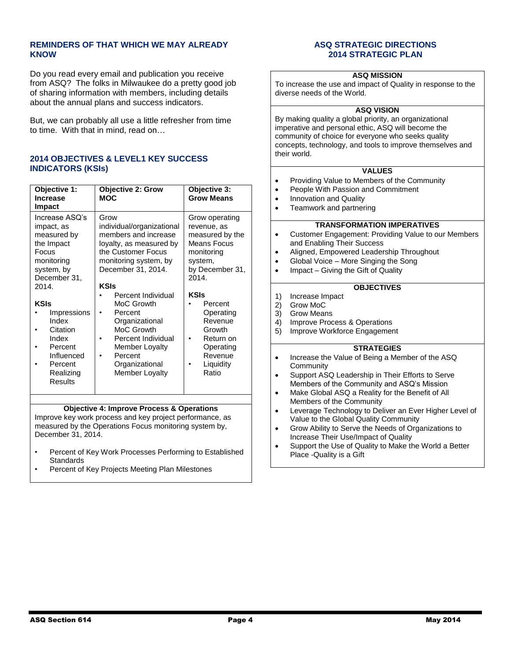#### **REMINDERS OF THAT WHICH WE MAY ALREADY KNOW**

Do you read every email and publication you receive from ASQ? The folks in Milwaukee do a pretty good job of sharing information with members, including details about the annual plans and success indicators.

But, we can probably all use a little refresher from time to time. With that in mind, read on…

#### **2014 OBJECTIVES & LEVEL1 KEY SUCCESS INDICATORS (KSIs)**

| Objective 1:<br>Increase<br><b>Impact</b>                                                                                   | <b>Objective 2: Grow</b><br><b>MOC</b>                                                                                                                                           | Objective 3:<br><b>Grow Means</b>                                                                                    |
|-----------------------------------------------------------------------------------------------------------------------------|----------------------------------------------------------------------------------------------------------------------------------------------------------------------------------|----------------------------------------------------------------------------------------------------------------------|
| Increase ASQ's<br>impact, as<br>measured by<br>the Impact<br>Focus<br>monitoring<br>system, by<br>December 31,<br>2014.     | Grow<br>individual/organizational<br>members and increase<br>loyalty, as measured by<br>the Customer Focus<br>monitoring system, by<br>December 31, 2014.<br><b>KSIs</b>         | Grow operating<br>revenue, as<br>measured by the<br>Means Focus<br>monitoring<br>system,<br>by December 31,<br>2014. |
| <b>KSIs</b><br>Impressions<br>Index<br>Citation<br>Index<br>Percent<br>Influenced<br>Percent<br>Realizing<br><b>Results</b> | Percent Individual<br>MoC Growth<br>Percent<br>Organizational<br>MoC Growth<br>Percent Individual<br><b>Member Loyalty</b><br>Percent<br>Organizational<br><b>Member Loyalty</b> | <b>KSIs</b><br>Percent<br>Operating<br>Revenue<br>Growth<br>Return on<br>Operating<br>Revenue<br>Liquidity<br>Ratio  |

### **Objective 4: Improve Process & Operations**

Improve key work process and key project performance, as measured by the Operations Focus monitoring system by, December 31, 2014.

- Percent of Key Work Processes Performing to Established **Standards**
- Percent of Key Projects Meeting Plan Milestones

#### **ASQ STRATEGIC DIRECTIONS 2014 STRATEGIC PLAN**

#### **ASQ MISSION**

To increase the use and impact of Quality in response to the diverse needs of the World.

#### **ASQ VISION**

By making quality a global priority, an organizational imperative and personal ethic, ASQ will become the community of choice for everyone who seeks quality concepts, technology, and tools to improve themselves and their world.

#### **VALUES**

- Providing Value to Members of the Community
- People With Passion and Commitment
- Innovation and Quality
- Teamwork and partnering

#### **TRANSFORMATION IMPERATIVES**

- Customer Engagement: Providing Value to our Members and Enabling Their Success
- Aligned, Empowered Leadership Throughout
- Global Voice More Singing the Song
- Impact Giving the Gift of Quality

#### **OBJECTIVES**

- 1) Increase Impact
- 2) Grow MoC
- 3) Grow Means
- 4) Improve Process & Operations
- 5) Improve Workforce Engagement

#### **STRATEGIES**

- Increase the Value of Being a Member of the ASQ **Community**
- Support ASQ Leadership in Their Efforts to Serve Members of the Community and ASQ's Mission
- Make Global ASQ a Reality for the Benefit of All Members of the Community
- Leverage Technology to Deliver an Ever Higher Level of Value to the Global Quality Community
- Grow Ability to Serve the Needs of Organizations to Increase Their Use/Impact of Quality
- Support the Use of Quality to Make the World a Better Place -Quality is a Gift